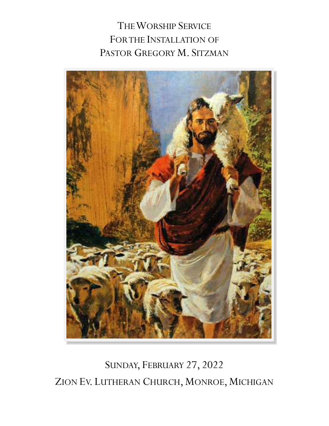THE WORSHIP SERVICE FOR THE INSTALLATION OF PASTOR GREGORY M. SITZMAN



SUNDAY, FEBRUARY 27, 2022 ZION EV. LUTHERAN CHURCH, MONROE, MICHIGAN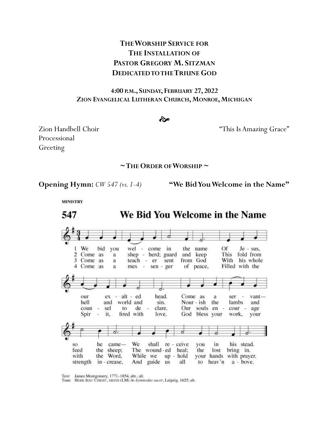# **THE WORSHIP SERVICE FOR THE INSTALLATION OF PASTOR GREGORY M. SITZMAN DEDICATED TO THE TRIUNE GOD**

#### **4:00 P.M., SUNDAY, FEBRUARY 27, 2022 ZION EVANGELICAL LUTHERAN CHURCH,MONROE,MICHIGAN**

#### ત્જે

Processional Greeting

Zion Handbell Choir "This Is Amazing Grace"

#### **~THE ORDER OF WORSHIP ~**

**Opening Hymn:** *CW 547 (vs. 1-4)* **"We Bid You Welcome in the Name"** 

**MINISTRY** 



Text: James Montgomery, 1771-1854, abr., alt.

Tune: HERR JESU CHRIST, MEINS (LM) As hymnodus sacer, Leipzig, 1625, alt.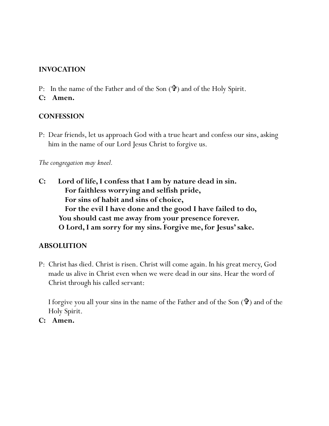## **INVOCATION**

- P: In the name of the Father and of the Son  $(\mathbf{\hat{P}})$  and of the Holy Spirit.
- **C: Amen.**

## **CONFESSION**

P: Dear friends, let us approach God with a true heart and confess our sins, asking him in the name of our Lord Jesus Christ to forgive us.

*The congregation may kneel.*

**C: Lord of life, I confess that I am by nature dead in sin. For faithless worrying and selfish pride, For sins of habit and sins of choice, For the evil I have done and the good I have failed to do, You should cast me away from your presence forever. O Lord, I am sorry for my sins. Forgive me, for Jesus' sake.** 

## **ABSOLUTION**

P: Christ has died. Christ is risen. Christ will come again. In his great mercy, God made us alive in Christ even when we were dead in our sins. Hear the word of Christ through his called servant:

I forgive you all your sins in the name of the Father and of the Son  $(\mathbf{\hat{\Psi}})$  and of the Holy Spirit.

**C: Amen.**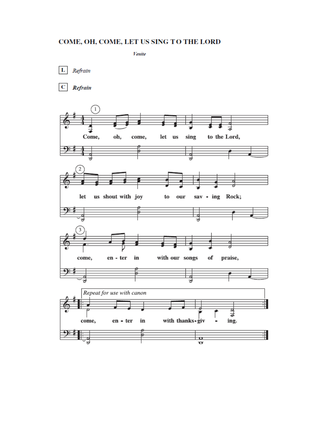#### COME, OH, COME, LET US SING TO THE LORD

Venite

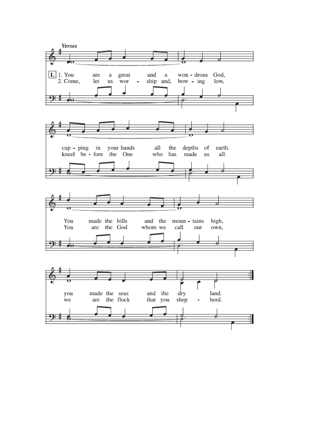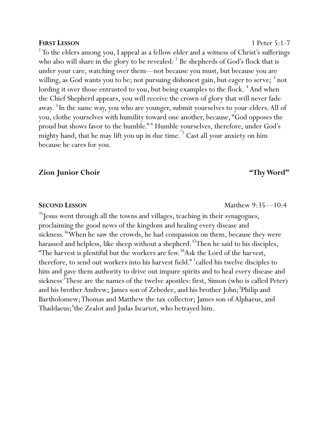**FIRST LESSON** 1 Peter 5:1-7 <sup>1</sup>To the elders among you, I appeal as a fellow elder and a witness of Christ's sufferings who also will share in the glory to be revealed:  $2$  Be shepherds of God's flock that is under your care, watching over them—not because you must, but because you are willing, as God wants you to be; not pursuing dishonest gain, but eager to serve; 3 not lording it over those entrusted to you, but being examples to the flock. <sup>4</sup> And when the Chief Shepherd appears, you will receive the crown of glory that will never fade away. <sup>5</sup> In the same way, you who are younger, submit yourselves to your elders. All of you, clothe yourselves with humility toward one another, because, "God opposes the proud but shows favor to the humble." <sup>6</sup> Humble yourselves, therefore, under God's mighty hand, that he may lift you up in due time.<sup>7</sup> Cast all your anxiety on him because he cares for you.

## **Zion Junior Choir "Thy Word"**

<sup>35</sup> Jesus went through all the towns and villages, teaching in their synagogues, proclaiming the good news of the kingdom and healing every disease and sickness.<sup>36</sup>When he saw the crowds, he had compassion on them, because they were harassed and helpless, like sheep without a shepherd.<sup>37</sup>Then he said to his disciples, "The harvest is plentiful but the workers are few. $38$ Ask the Lord of the harvest, therefore, to send out workers into his harvest field." <sup>1</sup>called his twelve disciples to him and gave them authority to drive out impure spirits and to heal every disease and sickness<sup>-2</sup>These are the names of the twelve apostles: first, Simon (who is called Peter) and his brother Andrew; James son of Zebedee, and his brother John;<sup>3</sup>Philip and Bartholomew; Thomas and Matthew the tax collector; James son of Alphaeus, and Thaddaeus;<sup>4</sup>the Zealot and Judas Iscariot, who betrayed him.

**SECOND LESSON** Matthew 9:35—10:4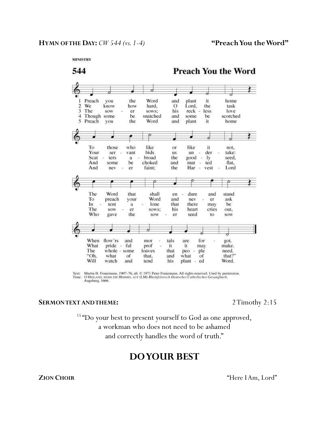

Text: Martin H. Franzmann, 1907-76, alt. © 1971 Peter Franzmann. All rights reserved. Used by permission.<br>Tune: O HEILAND, REISS DIE HIMMEL AUF (LM) Rheinfelssisch Deutsches Catholisches Gesangbuch, Augsburg, 1666.

#### **SERMON TEXT AND THEME:** 2 Timothy 2:15

<sup>15</sup>"Do your best to present yourself to God as one approved, a workman who does not need to be ashamed and correctly handles the word of truth."

# **DOYOUR BEST**

**ZION CHOIR**"Here I Am, Lord"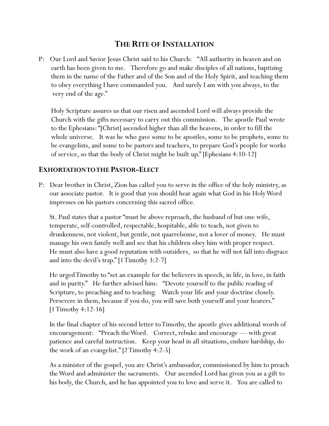# **THE RITE OF INSTALLATION**

P: Our Lord and Savior Jesus Christ said to his Church: "All authority in heaven and on earth has been given to me. Therefore go and make disciples of all nations, baptizing them in the name of the Father and of the Son and of the Holy Spirit, and teaching them to obey everything I have commanded you. And surely I am with you always, to the very end of the age."

Holy Scripture assures us that our risen and ascended Lord will always provide the Church with the gifts necessary to carry out this commission. The apostle Paul wrote to the Ephesians: "[Christ] ascended higher than all the heavens, in order to fill the whole universe. It was he who gave some to be apostles, some to be prophets, some to be evangelists, and some to be pastors and teachers, to prepare God's people for works of service, so that the body of Christ might be built up." [Ephesians 4:10-12]

## **EXHORTATION TO THE PASTOR-ELECT**

P: Dear brother in Christ, Zion has called you to serve in the office of the holy ministry, as our associate pastor. It is good that you should hear again what God in his Holy Word impresses on his pastors concerning this sacred office.

 St. Paul states that a pastor "must be above reproach, the husband of but one wife, temperate, self-controlled, respectable, hospitable, able to teach, not given to drunkenness, not violent, but gentle, not quarrelsome, not a lover of money. He must manage his own family well and see that his children obey him with proper respect. He must also have a good reputation with outsiders, so that he will not fall into disgrace and into the devil's trap." [1 Timothy 3:2-7]

 He urged Timothy to "set an example for the believers in speech, in life, in love, in faith and in purity." He further advised him: "Devote yourself to the public reading of Scripture, to preaching and to teaching. Watch your life and your doctrine closely. Persevere in them, because if you do, you will save both yourself and your hearers." [1 Timothy 4:12-16]

 In the final chapter of his second letter to Timothy, the apostle gives additional words of encouragement: "Preach the Word. Correct, rebuke and encourage — with great patience and careful instruction. Keep your head in all situations, endure hardship, do the work of an evangelist." [2 Timothy 4:2-5]

 As a minister of the gospel, you are Christ's ambassador, commissioned by him to preach the Word and administer the sacraments. Our ascended Lord has given you as a gift to his body, the Church, and he has appointed you to love and serve it. You are called to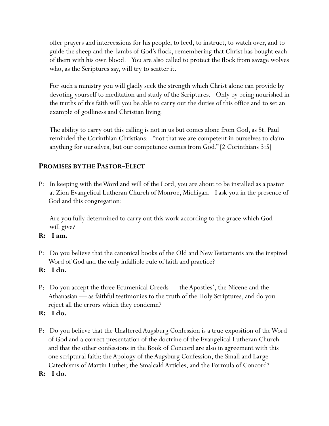offer prayers and intercessions for his people, to feed, to instruct, to watch over, and to guide the sheep and the lambs of God's flock, remembering that Christ has bought each of them with his own blood. You are also called to protect the flock from savage wolves who, as the Scriptures say, will try to scatter it.

 For such a ministry you will gladly seek the strength which Christ alone can provide by devoting yourself to meditation and study of the Scriptures. Only by being nourished in the truths of this faith will you be able to carry out the duties of this office and to set an example of godliness and Christian living.

 The ability to carry out this calling is not in us but comes alone from God, as St. Paul reminded the Corinthian Christians: "not that we are competent in ourselves to claim anything for ourselves, but our competence comes from God." [2 Corinthians 3:5]

## **PROMISES BY THE PASTOR-ELECT**

P: In keeping with the Word and will of the Lord, you are about to be installed as a pastor at Zion Evangelical Lutheran Church of Monroe, Michigan. I ask you in the presence of God and this congregation:

 Are you fully determined to carry out this work according to the grace which God will give?

## **R: I am.**

- P: Do you believe that the canonical books of the Old and New Testaments are the inspired Word of God and the only infallible rule of faith and practice?
- **R: I do.**
- P: Do you accept the three Ecumenical Creeds the Apostles', the Nicene and the Athanasian — as faithful testimonies to the truth of the Holy Scriptures, and do you reject all the errors which they condemn?

## **R: I do.**

- P: Do you believe that the Unaltered Augsburg Confession is a true exposition of the Word of God and a correct presentation of the doctrine of the Evangelical Lutheran Church and that the other confessions in the Book of Concord are also in agreement with this one scriptural faith: the Apology of the Augsburg Confession, the Small and Large Catechisms of Martin Luther, the Smalcald Articles, and the Formula of Concord?
- **R: I do.**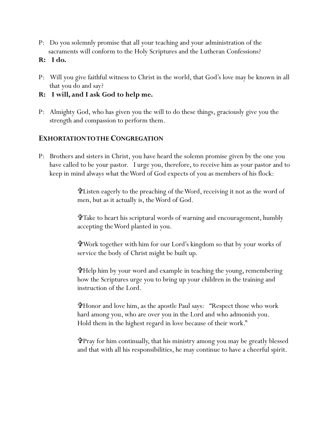- P: Do you solemnly promise that all your teaching and your administration of the sacraments will conform to the Holy Scriptures and the Lutheran Confessions?
- **R: I do.**
- P: Will you give faithful witness to Christ in the world, that God's love may be known in all that you do and say?
- **R: I will, and I ask God to help me.**
- P: Almighty God, who has given you the will to do these things, graciously give you the strength and compassion to perform them.

## **EXHORTATION TO THE CONGREGATION**

P: Brothers and sisters in Christ, you have heard the solemn promise given by the one you have called to be your pastor. I urge you, therefore, to receive him as your pastor and to keep in mind always what the Word of God expects of you as members of his flock:

> Listen eagerly to the preaching of the Word, receiving it not as the word of men, but as it actually is, the Word of God.

Take to heart his scriptural words of warning and encouragement, humbly accepting the Word planted in you.

Work together with him for our Lord's kingdom so that by your works of service the body of Christ might be built up.

Help him by your word and example in teaching the young, remembering how the Scriptures urge you to bring up your children in the training and instruction of the Lord.

Honor and love him, as the apostle Paul says: "Respect those who work hard among you, who are over you in the Lord and who admonish you. Hold them in the highest regard in love because of their work."

Pray for him continually, that his ministry among you may be greatly blessed and that with all his responsibilities, he may continue to have a cheerful spirit.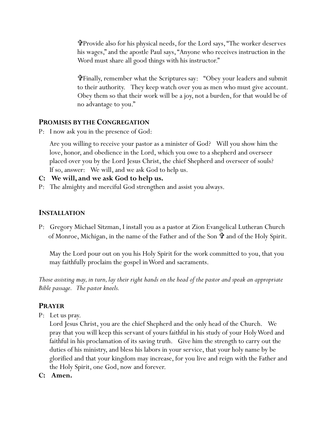Provide also for his physical needs, for the Lord says, "The worker deserves his wages," and the apostle Paul says, "Anyone who receives instruction in the Word must share all good things with his instructor."

Finally, remember what the Scriptures say: "Obey your leaders and submit to their authority. They keep watch over you as men who must give account. Obey them so that their work will be a joy, not a burden, for that would be of no advantage to you."

### **PROMISES BY THE CONGREGATION**

P: I now ask you in the presence of God:

 Are you willing to receive your pastor as a minister of God? Will you show him the love, honor, and obedience in the Lord, which you owe to a shepherd and overseer placed over you by the Lord Jesus Christ, the chief Shepherd and overseer of souls? If so, answer: We will, and we ask God to help us.

- **C: We will, and we ask God to help us.**
- P: The almighty and merciful God strengthen and assist you always.

#### **INSTALLATION**

P: Gregory Michael Sitzman, I install you as a pastor at Zion Evangelical Lutheran Church of Monroe, Michigan, in the name of the Father and of the Son  $\mathbf{\hat{u}}$  and of the Holy Spirit.

 May the Lord pour out on you his Holy Spirit for the work committed to you, that you may faithfully proclaim the gospel in Word and sacraments.

*Those assisting may, in turn, lay their right hands on the head of the pastor and speak an appropriate Bible passage. The pastor kneels.*

### **PRAYER**

P: Let us pray.

Lord Jesus Christ, you are the chief Shepherd and the only head of the Church. We pray that you will keep this servant of yours faithful in his study of your Holy Word and faithful in his proclamation of its saving truth. Give him the strength to carry out the duties of his ministry, and bless his labors in your service, that your holy name by be glorified and that your kingdom may increase, for you live and reign with the Father and the Holy Spirit, one God, now and forever.

**C: Amen.**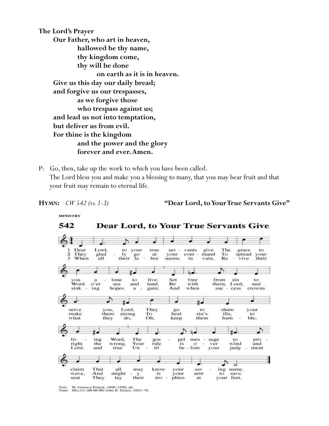**The Lord's Prayer Our Father, who art in heaven, hallowed be thy name, thy kingdom come, thy will be done on earth as it is in heaven. Give us this day our daily bread; and forgive us our trespasses, as we forgive those who trespass against us; and lead us not into temptation, but deliver us from evil. For thine is the kingdom and the power and the glory forever and ever. Amen.**

P: Go, then, take up the work to which you have been called. The Lord bless you and make you a blessing to many, that you may bear fruit and that your fruit may remain to eternal life.

**MINISTRY** 

**HYMN:** *CW 542 (vs. 1-3)* **"Dear Lord, to Your True Servants Give"**

542 **Dear Lord, to Your True Servants Give** Dear Lord, to your true give The ser vants grace to  $\frac{2}{3}$ To your<br>their They glad go<br>la at your com mand spread Iv When all their bor seems Re in vain. vive  $\breve{\circ}$ ♪ ۵J. free you<br>Word ä lone to live. Set from sin to o'er sea and land. Be with them, Lord, and ing hopes And when sink  $\bf a$ gain: suc cess crowns ۰ t. 出山 ᅿ Lord, your serve you, They  $_{80}$ to share ills, make them strong heal sin's To to what they do. Oh. keep them hum ble.  $\epsilon$ Ð t۰  $#$ ħ liv ing Word. The gos pel mes sage pro to right wind the wrong. Your rule is  $\ddot{\mathbf{o}}$ ver and Lord.  $_{Un}$ til be fore judg and true your ment ⇁ ♪ z claim That all know your may sav ing name. wave, And might is your arm to save. У lay your feet. seat They their tro phies ät

Text: W. Gustave Polack, 1890-1950, alt.<br>Tune: MELITA (88 88 88) John B. Dykes, 1823-76.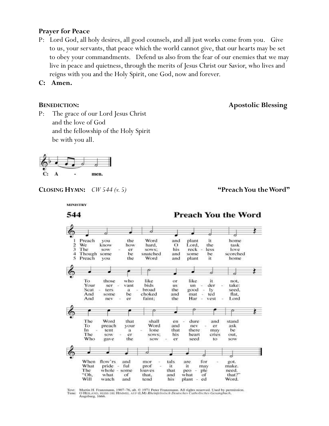#### **Prayer for Peace**

P: Lord God, all holy desires, all good counsels, and all just works come from you. Give to us, your servants, that peace which the world cannot give, that our hearts may be set to obey your commandments. Defend us also from the fear of our enemies that we may live in peace and quietness, through the merits of Jesus Christ our Savior, who lives and reigns with you and the Holy Spirit, one God, now and forever.

**C: Amen.**

**BENEDICTION:** Apostolic Blessing

P: The grace of our Lord Jesus Christ and the love of God and the fellowship of the Holy Spirit be with you all.



**MINISTRY** 

#### **CLOSING HYMN:**  $CW 544 (v. 5)$   **"Preach You the Word"**



Martin H. Franzmann, 1907-76, alt. © 1971 Peter Franzmann. All rights reserved. Used by permission.<br>O HEILAND, REISS DIE HIMMEL AUF (LM) Rheinfelssisch Deutsches Catholisches Gesangbuch, Augsburg, 1666. Text:<br>Tune: